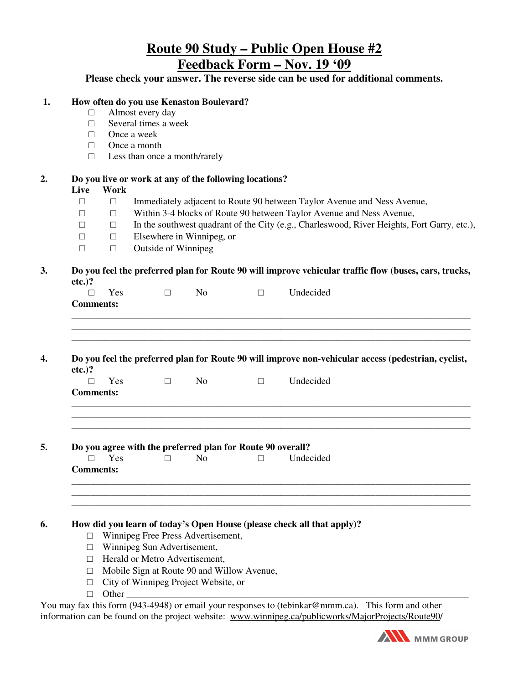# **Route 90 Study – Public Open House #2 Feedback Form – Nov. 19 '09**

## **Please check your answer. The reverse side can be used for additional comments.**

#### **1. How often do you use Kenaston Boulevard?**

- □ Almost every day
- □ Several times a week
- □ Once a week
- □ Once a month
- □ Less than once a month/rarely

#### **2. Do you live or work at any of the following locations?**

#### **Live Work**

- □ □ Immediately adjacent to Route 90 between Taylor Avenue and Ness Avenue,
- □ □ Within 3-4 blocks of Route 90 between Taylor Avenue and Ness Avenue,
- $\Box$  In the southwest quadrant of the City (e.g., Charleswood, River Heights, Fort Garry, etc.),
- $\Box$  Elsewhere in Winnipeg, or
- $\Box$  Outside of Winnipeg

#### **3. Do you feel the preferred plan for Route 90 will improve vehicular traffic flow (buses, cars, trucks, etc.)?**

**4. Do you feel the preferred plan for Route 90 will improve non-vehicular access (pedestrian, cyclist, etc.)?** 

\_\_\_\_\_\_\_\_\_\_\_\_\_\_\_\_\_\_\_\_\_\_\_\_\_\_\_\_\_\_\_\_\_\_\_\_\_\_\_\_\_\_\_\_\_\_\_\_\_\_\_\_\_\_\_\_\_\_\_\_\_\_\_\_\_\_\_\_\_\_\_\_\_\_\_\_\_\_\_\_\_\_\_\_

\_\_\_\_\_\_\_\_\_\_\_\_\_\_\_\_\_\_\_\_\_\_\_\_\_\_\_\_\_\_\_\_\_\_\_\_\_\_\_\_\_\_\_\_\_\_\_\_\_\_\_\_\_\_\_\_\_\_\_\_\_\_\_\_\_\_\_\_\_\_\_\_\_\_\_\_\_\_\_\_\_\_\_\_

\_\_\_\_\_\_\_\_\_\_\_\_\_\_\_\_\_\_\_\_\_\_\_\_\_\_\_\_\_\_\_\_\_\_\_\_\_\_\_\_\_\_\_\_\_\_\_\_\_\_\_\_\_\_\_\_\_\_\_\_\_\_\_\_\_\_\_\_\_\_\_\_\_\_\_\_\_\_\_\_\_\_\_\_

\_\_\_\_\_\_\_\_\_\_\_\_\_\_\_\_\_\_\_\_\_\_\_\_\_\_\_\_\_\_\_\_\_\_\_\_\_\_\_\_\_\_\_\_\_\_\_\_\_\_\_\_\_\_\_\_\_\_\_\_\_\_\_\_\_\_\_\_\_\_\_\_\_\_\_\_\_\_\_\_\_\_\_\_

|                  | Y es |  | Undecided |
|------------------|------|--|-----------|
| <b>Comments:</b> |      |  |           |

# **5. Do you agree with the preferred plan for Route 90 overall?**

| $\Box$<br>Yes<br>N <sub>0</sub> |  |           |  |
|---------------------------------|--|-----------|--|
|                                 |  | Undecided |  |

### **6. How did you learn of today's Open House (please check all that apply)?**

- □ Winnipeg Free Press Advertisement,
- □ Winnipeg Sun Advertisement,
- □ Herald or Metro Advertisement,
- □ Mobile Sign at Route 90 and Willow Avenue,
- □ City of Winnipeg Project Website, or
- □ Other \_\_\_\_\_\_\_\_\_\_\_\_\_\_\_\_\_\_\_\_\_\_\_\_\_\_\_\_\_\_\_\_\_\_\_\_\_\_\_\_\_\_\_\_\_\_\_\_\_\_\_\_\_\_\_\_\_\_\_\_\_\_\_\_\_\_\_\_\_\_\_\_

**Comments:** 

You may fax this form (943-4948) or email your responses to (tebinkar@mmm.ca). This form and other information can be found on the project website: www.winnipeg.ca/publicworks/MajorProjects/Route90/